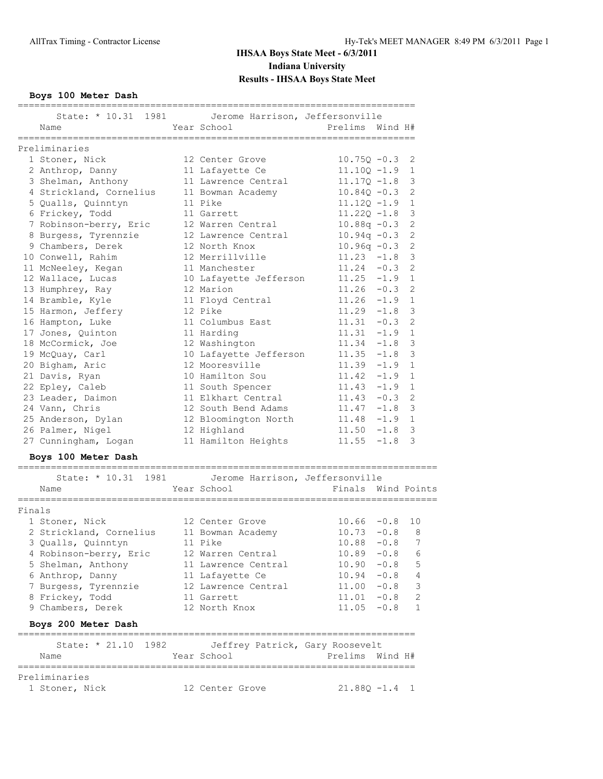**Boys 100 Meter Dash**

|                                                        |                        | ============================== |          |                |
|--------------------------------------------------------|------------------------|--------------------------------|----------|----------------|
| State: * 10.31 1981    Uerome Harrison, Jeffersonville |                        |                                |          |                |
| Name                                                   | Year School            | Prelims Wind H#                |          |                |
| Preliminaries                                          |                        |                                |          |                |
|                                                        |                        |                                |          |                |
| 1 Stoner, Nick                                         | 12 Center Grove        | $10.750 - 0.3$                 |          | 2              |
| 2 Anthrop, Danny                                       | 11 Lafayette Ce        | $11.100 - 1.9$ 1               |          |                |
| 3 Shelman, Anthony                                     | 11 Lawrence Central    | $11.170 - 1.8$                 |          | 3              |
| 4 Strickland, Cornelius                                | 11 Bowman Academy      | $10.84Q - 0.3$                 |          | 2              |
| 5 Qualls, Quinntyn                                     | 11 Pike                | $11.12Q - 1.9$ 1               |          |                |
| 6 Frickey, Todd                                        | 11 Garrett             | $11.22Q - 1.8$                 |          | 3              |
| 7 Robinson-berry, Eric                                 | 12 Warren Central      | $10.88q - 0.3$                 |          | $\overline{2}$ |
| 8 Burgess, Tyrennzie                                   | 12 Lawrence Central    | $10.94q - 0.3$                 |          | $\mathbf{2}$   |
| 9 Chambers, Derek                                      | 12 North Knox          | $10.96q - 0.3$                 |          | $\mathbf{2}$   |
| 10 Conwell, Rahim                                      | 12 Merrillville        | $11.23 - 1.8$                  |          | $\mathcal{S}$  |
| 11 McNeeley, Kegan                                     | 11 Manchester          | $11.24 - 0.3$ 2                |          |                |
| 12 Wallace, Lucas                                      | 10 Lafayette Jefferson | $11.25 - 1.9$                  |          | $\mathbf{1}$   |
| 13 Humphrey, Ray                                       | 12 Marion              | $11.26 - 0.3$                  |          | 2              |
| 14 Bramble, Kyle                                       | 11 Floyd Central       | $11.26 - 1.9$                  |          | $\overline{1}$ |
| 15 Harmon, Jeffery                                     | 12 Pike                | $11.29 - 1.8$                  |          | $\mathcal{S}$  |
| 16 Hampton, Luke                                       | 11 Columbus East       | $11.31 - 0.3$ 2                |          |                |
| 17 Jones, Quinton                                      | 11 Harding             | $11.31 -1.9 1$                 |          |                |
| 18 McCormick, Joe                                      | 12 Washington          | $11.34 -1.8$                   |          | $\mathcal{E}$  |
| 19 McQuay, Carl                                        | 10 Lafayette Jefferson | 11.35                          | $-1.8$   | 3              |
| 20 Bigham, Aric                                        | 12 Mooresville         | 11.39                          | $-1.9$   | $\overline{1}$ |
| 21 Davis, Ryan                                         | 10 Hamilton Sou        | 11.42                          | $-1.9$   | 1              |
| 22 Epley, Caleb                                        | 11 South Spencer       | $11.43 -1.9$ 1                 |          |                |
| 23 Leader, Daimon                                      | 11 Elkhart Central     | 11.43                          | $-0.3$   | $\mathbf{2}$   |
| 24 Vann, Chris                                         | 12 South Bend Adams    | $11.47 - 1.8$                  |          | 3              |
| 25 Anderson, Dylan                                     | 12 Bloomington North   | 11.48                          | $-1.9$ 1 |                |
| 26 Palmer, Nigel                                       | 12 Highland            | $11.50 - 1.8$                  |          | 3              |
| 27 Cunningham, Logan                                   | 11 Hamilton Heights    | 11.55                          | $-1.8$   | 3              |
|                                                        |                        |                                |          |                |

#### **Boys 100 Meter Dash**

|        | State: * 10.31 1981   Jerome Harrison, Jeffersonville<br>Name | Year School         | Finals Wind Points |        |                |
|--------|---------------------------------------------------------------|---------------------|--------------------|--------|----------------|
|        |                                                               |                     |                    |        |                |
| Finals |                                                               |                     |                    |        |                |
|        | 1 Stoner, Nick                                                | 12 Center Grove     | $10.66 - 0.8 10$   |        |                |
|        | 2 Strickland, Cornelius                                       | 11 Bowman Academy   | 10.73              | $-0.8$ | 8              |
|        | 3 Qualls, Quinntyn                                            | 11 Pike             | 10.88              | $-0.8$ | 7              |
|        | 4 Robinson-berry, Eric                                        | 12 Warren Central   | 10.89              | $-0.8$ | 6              |
|        | 5 Shelman, Anthony                                            | 11 Lawrence Central | 10.90              | $-0.8$ | 5              |
|        | 6 Anthrop, Danny                                              | 11 Lafayette Ce     | 10.94              | $-0.8$ | $\overline{4}$ |
|        | 7 Burgess, Tyrennzie                                          | 12 Lawrence Central | 11.00              | $-0.8$ | 3              |
|        | 8 Frickey, Todd                                               | 11 Garrett          | 11.01              | $-0.8$ | $\overline{2}$ |
|        | 9 Chambers, Derek                                             | 12 North Knox       | 11.05              | $-0.8$ | $\mathbf{1}$   |
|        | Boys 200 Meter Dash                                           |                     |                    |        |                |
|        | State: * 21.10 1982 Jeffrey Patrick, Gary Roosevelt           |                     |                    |        |                |
|        | Name                                                          | Year School         | Prelims Wind H#    |        |                |
|        |                                                               |                     |                    |        |                |
|        | Preliminaries                                                 |                     |                    |        |                |
|        | 1 Stoner, Nick                                                | 12 Center Grove     | $21.880 - 1.4$ 1   |        |                |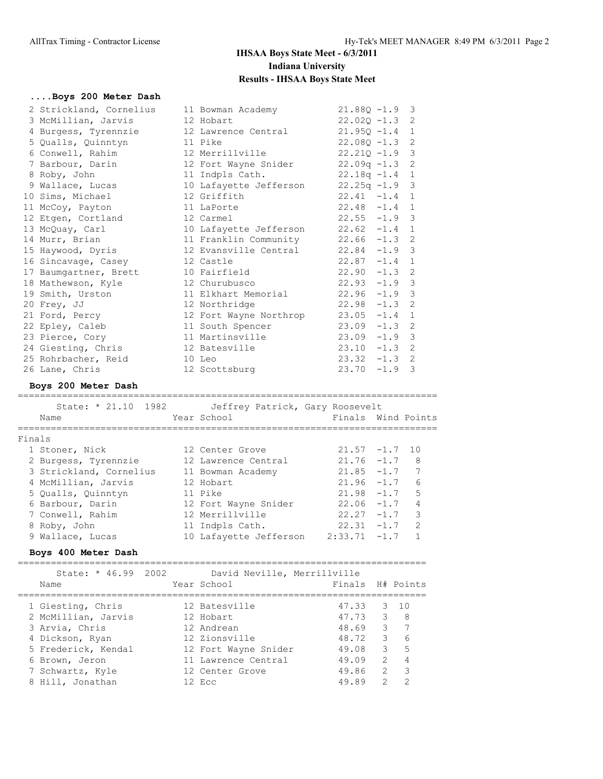### **....Boys 200 Meter Dash** 2 Strickland, Cornelius 11 Bowman Academy 21.88Q -1.9 3 3 McMillian, Jarvis 12 Hobart 22.02Q -1.3 2 4 Burgess, Tyrennzie 12 Lawrence Central 21.95Q -1.4 1 5 Qualls, Quinntyn 11 Pike 22.08Q -1.3 2 6 Conwell, Rahim 12 Merrillville 22.21Q -1.9 3 7 Barbour, Darin 12 Fort Wayne Snider 22.09q -1.3 2 8 Roby, John 11 Indpls Cath. 22.18q -1.4 1 9 Wallace, Lucas 10 Lafayette Jefferson 22.25q -1.9 3 10 Sims, Michael 12 Griffith 22.41 -1.4 1 11 McCoy, Payton 11 LaPorte 22.48 -1.4 1 12 Etgen, Cortland 12 Carmel 22.55 -1.9 3 13 McQuay, Carl 10 Lafayette Jefferson 22.62 -1.4 1 14 Murr, Brian 11 Franklin Community 22.66 -1.3 2 15 Haywood, Dyris 12 Evansville Central 22.84 -1.9 3 16 Sincavage, Casey 12 Castle 22.87 -1.4 1 17 Baumgartner, Brett 10 Fairfield 22.90 -1.3 2 18 Mathewson, Kyle 12 Churubusco 22.93 -1.9 3 19 Smith, Urston 11 Elkhart Memorial 22.96 -1.9 3 20 Frey, JJ 12 Northridge 22.98 -1.3 2 21 Ford, Percy 12 Fort Wayne Northrop 23.05 -1.4 1 22 Epley, Caleb 11 South Spencer 23.09 -1.3 2 23 Pierce, Cory 11 Martinsville 23.09 -1.9 3 24 Giesting, Chris 12 Batesville 23.10 -1.3 2 25 Rohrbacher, Reid 10 Leo 23.32 -1.3 2 26 Lane, Chris 12 Scottsburg 23.70 -1.9 3 **Boys 200 Meter Dash** ============================================================================ State: \* 21.10 1982 Jeffrey Patrick, Gary Roosevelt Name The Year School Communications of the Mind Points ============================================================================ Finals 1 Stoner, Nick 12 Center Grove 21.57 -1.7 10 2 Burgess, Tyrennzie 12 Lawrence Central 21.76 -1.7 8 3 Strickland, Cornelius 11 Bowman Academy 21.85 -1.7 7 4 McMillian, Jarvis 12 Hobart 21.96 -1.7 6 5 Qualls, Quinntyn 11 Pike 21.98 -1.7 5 6 Barbour, Darin 12 Fort Wayne Snider 22.06 -1.7 4 7 Conwell, Rahim 12 Merrillville 22.27 -1.7 3 8 Roby, John 11 Indpls Cath. 22.31 -1.7 2 9 Wallace, Lucas 10 Lafayette Jefferson 2:33.71 -1.7 1 **Boys 400 Meter Dash** ========================================================================== State: \* 46.99 2002 David Neville, Merrillville Name The Year School Finals H# Points ========================================================================== 1 Giesting, Chris 12 Batesville 47.33 3 10 2 McMillian, Jarvis 12 Hobart 47.73 3 8 3 Arvia, Chris 12 Andrean 48.69 3 7 4 Dickson, Ryan 12 Zionsville 48.72 3 6 5 Frederick, Kendal 12 Fort Wayne Snider 49.08 3 5 6 Brown, Jeron 11 Lawrence Central 49.09 2 4

 7 Schwartz, Kyle 12 Center Grove 49.86 2 3 8 Hill, Jonathan 12 Ecc 49.89 2 2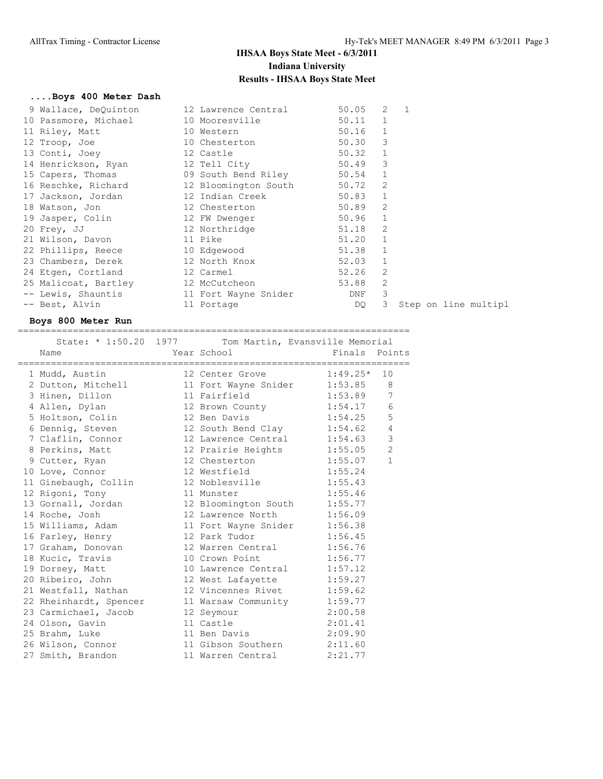## **....Boys 400 Meter Dash**

| 9 Wallace, DeQuinton | 12 Lawrence Central  | 50.05     | 2                        | $\overline{1}$       |
|----------------------|----------------------|-----------|--------------------------|----------------------|
| 10 Passmore, Michael | 10 Mooresville       | $50.11$ 1 |                          |                      |
| 11 Riley, Matt       | 10 Western           | 50.16     | $\overline{1}$           |                      |
| 12 Troop, Joe        | 10 Chesterton        | 50.30     | $\overline{\phantom{a}}$ |                      |
| 13 Conti, Joey       | 12 Castle            | 50.32     | 1                        |                      |
| 14 Henrickson, Ryan  | 12 Tell City         | 50.49     | -3                       |                      |
| 15 Capers, Thomas    | 09 South Bend Riley  | 50.54     | 1                        |                      |
| 16 Reschke, Richard  | 12 Bloomington South | 50.72     | 2                        |                      |
| 17 Jackson, Jordan   | 12 Indian Creek      | 50.83     | $\overline{1}$           |                      |
| 18 Watson, Jon       | 12 Chesterton        | 50.89     | 2                        |                      |
| 19 Jasper, Colin     | 12 FW Dwenger        | 50.96     | $\mathbf{1}$             |                      |
| 20 Frey, JJ          | 12 Northridge        | 51.18     | 2                        |                      |
| 21 Wilson, Davon     | 11 Pike              | 51.20     | $\mathbf{1}$             |                      |
| 22 Phillips, Reece   | 10 Edgewood          | 51.38     | $\mathbf{1}$             |                      |
| 23 Chambers, Derek   | 12 North Knox        | 52.03     | 1                        |                      |
| 24 Etgen, Cortland   | 12 Carmel            | 52.26     | 2                        |                      |
| 25 Malicoat, Bartley | 12 McCutcheon        | 53.88     | 2                        |                      |
| -- Lewis, Shauntis   | 11 Fort Wayne Snider | DNF       | 3                        |                      |
| -- Best, Alvin       | 11 Portage           | DQ        | 3                        | Step on line multipl |

### **Boys 800 Meter Run**

| State: * 1:50.20 1977 Tom Martin, Evansville Memorial                                         |            |                              |               |              |
|-----------------------------------------------------------------------------------------------|------------|------------------------------|---------------|--------------|
| Name                                                                                          |            | Year School                  | Finals Points |              |
| 1 Mudd, Austin                                                                                |            | $12$ Center Grove $1:49.25*$ |               | 10           |
| 2 Dutton, Mitchell 11 Fort Wayne Snider 1:53.85 8                                             |            |                              |               |              |
| 3 Hinen, Dillon 11 Fairfield 1:53.89                                                          |            |                              |               | 7            |
| 4 Allen, Dylan 12 Brown County 1:54.17                                                        |            |                              |               | 6            |
|                                                                                               |            |                              |               | 5            |
| 6 Dennig, Steven 12 South Bend Clay 1:54.62                                                   |            |                              |               | 4            |
| 7 Claflin, Connor 12 Lawrence Central 1:54.63                                                 |            |                              |               | 3            |
| 8 Perkins, Matt 12 Prairie Heights 1:55.05                                                    |            |                              |               | $\mathbf{2}$ |
| 9 Cutter, Ryan 12 Chesterton 1:55.07                                                          |            |                              |               | $\mathbf{1}$ |
| 10 Love, Connor 12 Westfield 1:55.24                                                          |            |                              |               |              |
| 11 Ginebaugh, Collin 12 Noblesville 1:55.43                                                   |            |                              |               |              |
| 12 Rigoni, Tony                                                                               | 11 Munster |                              | 1:55.46       |              |
| 13 Gornall, Jordan 12 Bloomington South 1:55.77                                               |            |                              |               |              |
| 14 Roche, Josh                                                                                |            | 12 Lawrence North 1:56.09    |               |              |
|                                                                                               |            |                              |               |              |
| 15 Williams, Adam 11 Fort Wayne Snider 1:56.38<br>16 Farley, Henry 12 Park Tudor 1:56.45      |            |                              |               |              |
| 17 Graham, Donovan 12 Warren Central 1:56.76                                                  |            |                              |               |              |
| 18 Kucic, Travis 10 Crown Point 1:56.77                                                       |            |                              |               |              |
| 19 Dorsey, Matt 10 Lawrence Central 1:57.12                                                   |            |                              |               |              |
| 20 Ribeiro, John 12 West Lafayette                                                            |            |                              | 1:59.27       |              |
| 21 Westfall, Nathan 12 Vincennes Rivet 1:59.62                                                |            |                              |               |              |
| 22 Rheinhardt, Spencer 11 Warsaw Community 1:59.77<br>23 Carmichael, Jacob 12 Seymour 2:00.58 |            |                              | 1:59.77       |              |
|                                                                                               |            |                              |               |              |
| 24 Olson, Gavin 11 Castle                                                                     |            |                              | 2:01.41       |              |
| 25 Brahm, Luke 11 Ben Davis                                                                   |            |                              | 2:09.90       |              |
| 26 Wilson, Connor 11 Gibson Southern 2:11.60                                                  |            |                              |               |              |
| 27 Smith, Brandon                                                                             |            | 11 Warren Central            | 2:21.77       |              |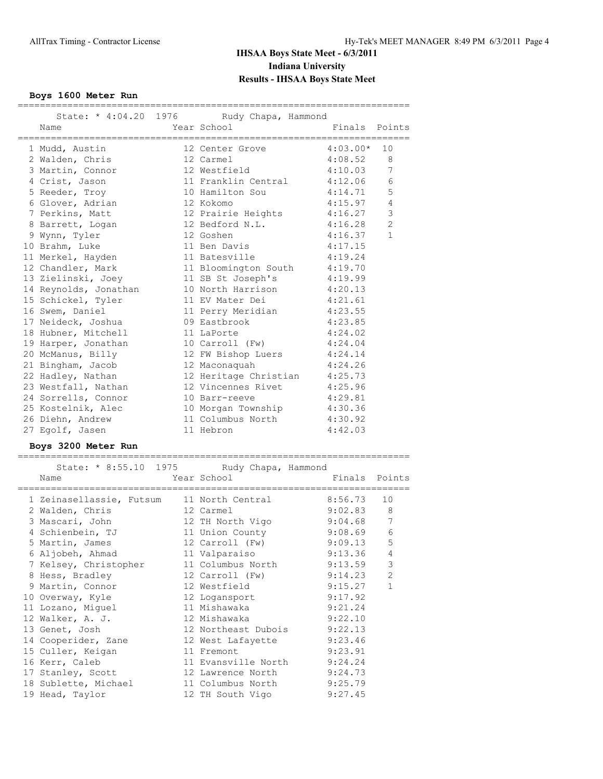### **Boys 1600 Meter Run**

| Name                                                                     | State: * 4:04.20 1976 Rudy Chapa, Hammond<br>Year School and the Material | Finals Points |                |
|--------------------------------------------------------------------------|---------------------------------------------------------------------------|---------------|----------------|
| 1 Mudd, Austin                                                           | 12 Center Grove 4:03.00*                                                  |               | 10             |
| 2 Walden, Chris                                                          | 12 Carmel                                                                 | $4:08.52$ 8   |                |
| 3 Martin, Connor 12 Westfield 4:10.03                                    |                                                                           |               | 7              |
| 4 Crist, Jason                                                           | 11 Franklin Central 4:12.06 6                                             |               |                |
| 5 Reeder, Troy                                                           | 10 Hamilton Sou 4:14.71                                                   |               | 5              |
|                                                                          |                                                                           | 4:15.97       | 4              |
| 6 Glover, Adrian 12 Kokomo<br>7 Perkins, Matt 12 Prairie Heights 4:16.27 |                                                                           |               | $\mathfrak{Z}$ |
| 8 Barrett, Logan 12 Bedford N.L. 4:16.28                                 |                                                                           |               | $\overline{c}$ |
| 9 Wynn, Tyler                                                            | 12 Goshen                                                                 | 4:16.37       | $\mathbf{1}$   |
| 10 Brahm, Luke                                                           | 11 Ben Davis 4:17.15                                                      |               |                |
|                                                                          |                                                                           | 4:19.24       |                |
| 11 Merkel, Hayden 11 Batesville                                          |                                                                           |               |                |
| 12 Chandler, Mark 11 Bloomington South 4:19.70                           |                                                                           |               |                |
| 13 Zielinski, Joey 11 SB St Joseph's 4:19.99                             |                                                                           |               |                |
| 14 Reynolds, Jonathan                                                    | 10 North Harrison 4:20.13                                                 |               |                |
| 15 Schickel, Tyler                                                       | 11 EV Mater Dei 4:21.61                                                   |               |                |
| 16 Swem, Daniel                                                          | 11 Perry Meridian 4:23.55                                                 |               |                |
| 17 Neideck, Joshua (1998) 09 Eastbrook (1998) 4:23.85                    |                                                                           |               |                |
| 18 Hubner, Mitchell                                                      | 11 LaPorte                                                                | 4:24.02       |                |
| 19 Harper, Jonathan                                                      | 10 Carroll (Fw) 4:24.04                                                   |               |                |
| 20 McManus, Billy                                                        | 12 FW Bishop Luers 4:24.14                                                |               |                |
| 21 Bingham, Jacob 12 Maconaquah                                          |                                                                           | 4:24.26       |                |
| 22 Hadley, Nathan 12 Heritage Christian 4:25.73                          |                                                                           |               |                |
| 23 Westfall, Nathan 12 Vincennes Rivet 4:25.96                           |                                                                           |               |                |
| 24 Sorrells, Connor                                                      | 10 Barr-reeve 4:29.81                                                     |               |                |
| 25 Kostelnik, Alec                                                       | 10 Morgan Township 4:30.36                                                |               |                |
| 26 Diehn, Andrew                                                         | 11 Columbus North 4:30.92                                                 |               |                |
| 27 Egolf, Jasen                                                          | 11 Hebron                                                                 | 4:42.03       |                |

#### **Boys 3200 Meter Run**

======================================================================= State: \* 8:55.10 1975 Rudy Chapa, Hammond

| Name                                                             | Year School in the Finals Points |             |               |
|------------------------------------------------------------------|----------------------------------|-------------|---------------|
| 1 Zeinasellassie, Futsum 11 North Central 8:56.73                |                                  |             | 10            |
| 2 Walden, Chris 12 Carmel                                        |                                  | $9:02.83$ 8 |               |
| 3 Mascari, John               12 TH North Vigo           9:04.68 |                                  |             | 7             |
| 4 Schienbein, TJ 11 Union County 9:08.69                         |                                  |             | $\epsilon$    |
|                                                                  |                                  |             | 5             |
|                                                                  |                                  |             | $\sqrt{4}$    |
| 7 Kelsey, Christopher 11 Columbus North 9:13.59                  |                                  |             | $\mathcal{S}$ |
|                                                                  |                                  |             | 2             |
| 9 Martin, Connor 12 Westfield                                    |                                  | 9:15.27     | $\mathbf{1}$  |
| 10 Overway, Kyle                                                 | 12 Logansport                    | 9:17.92     |               |
| 11 Lozano, Miguel 11 Mishawaka                                   |                                  | 9:21.24     |               |
| 12 Walker, A. J. 12 Mishawaka                                    |                                  | 9:22.10     |               |
| 13 Genet, Josh                                                   | 12 Northeast Dubois 9:22.13      |             |               |
| 14 Cooperider, Zane 12 West Lafayette                            |                                  | 9:23.46     |               |
| 15 Culler, Keigan                                                | 11 Fremont 9:23.91               |             |               |
| 16 Kerr, Caleb 11 Evansville North 9:24.24                       |                                  |             |               |
| 17 Stanley, Scott 12 Lawrence North                              |                                  | 9:24.73     |               |
| 18 Sublette, Michael 11 Columbus North 9:25.79                   |                                  |             |               |
| 19 Head, Taylor                                                  | 12 TH South Vigo 9:27.45         |             |               |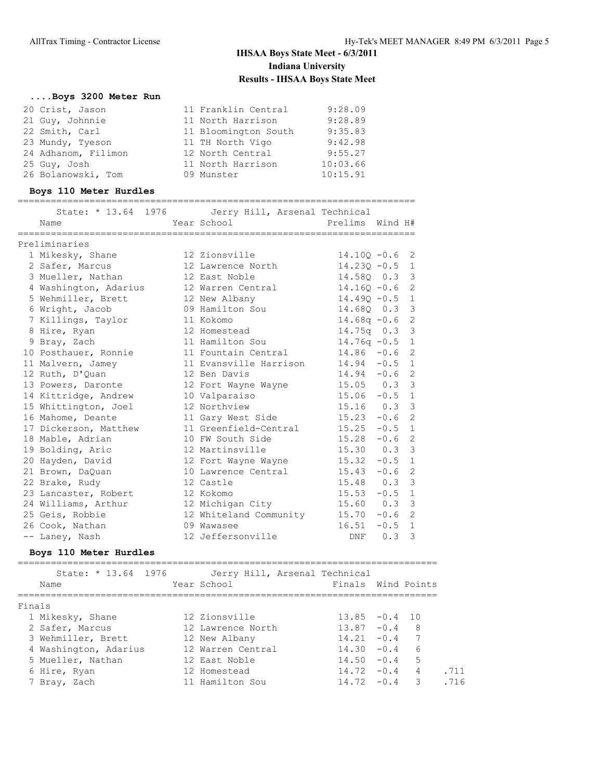#### **....Boys 3200 Meter Run**

| 20 Crist, Jason     | 11 Franklin Central  | 9:28.09  |
|---------------------|----------------------|----------|
| 21 Guy, Johnnie     | 11 North Harrison    | 9:28.89  |
| 22 Smith, Carl      | 11 Bloomington South | 9:35.83  |
| 23 Mundy, Tyeson    | 11 TH North Vigo     | 9:42.98  |
| 24 Adhanom, Filimon | 12 North Central     | 9:55.27  |
| 25 Guy, Josh        | 11 North Harrison    | 10:03.66 |
| 26 Bolanowski, Tom  | 09 Munster           | 10:15.91 |

### **Boys 110 Meter Hurdles** ======================================================================== State: \* 13.64 1976 Jerry Hill, Arsenal Technical Name  $Year School$  Prelims Wind H# ======================================================================== Preliminaries 1 Mikesky, Shane 12 Zionsville 14.10Q -0.6 2 2 Safer, Marcus 12 Lawrence North 14.23Q -0.5 1 3 Mueller, Nathan 12 East Noble 14.58Q 0.3 3 4 Washington, Adarius 12 Warren Central 14.16Q -0.6 2 5 Wehmiller, Brett 12 New Albany 14.490 -0.5 1 6 Wright, Jacob 09 Hamilton Sou 14.68Q 0.3 3 7 Killings, Taylor 11 Kokomo 14.68q -0.6 2 8 Hire, Ryan 12 Homestead 14.75q 0.3 3 9 Bray, Zach 11 Hamilton Sou 14.76q -0.5 1 10 Posthauer, Ronnie 11 Fountain Central 14.86 -0.6 2 11 Malvern, Jamey 11 Evansville Harrison 14.94 -0.5 1 12 Ruth, D'Quan 12 Ben Davis 14.94 -0.6 2 13 Powers, Daronte 12 Fort Wayne Wayne 15.05 0.3 3 14 Kittridge, Andrew 10 Valparaiso 15.06 -0.5 1 15 Whittington, Joel 12 Northview 15.16 0.3 3 16 Mahome, Deante 11 Gary West Side 15.23 -0.6 2 17 Dickerson, Matthew 11 Greenfield-Central 15.25 -0.5 1 18 Mable, Adrian 10 FW South Side 15.28 -0.6 2 19 Bolding, Aric 12 Martinsville 15.30 0.3 3 20 Hayden, David 12 Fort Wayne Wayne 15.32 -0.5 1 21 Brown, DaQuan 10 Lawrence Central 15.43 -0.6 2 22 Brake, Rudy 12 Castle 15.48 0.3 3 23 Lancaster, Robert 12 Kokomo 15.53 -0.5 1 24 Williams, Arthur 12 Michigan City 15.60 0.3 3 25 Geis, Robbie 12 Whiteland Community 15.70 -0.6 2 26 Cook, Nathan 09 Wawasee 16.51 -0.5 1 -- Laney, Nash 12 Jeffersonville DNF 0.3 3

#### **Boys 110 Meter Hurdles**

| State: * 13.64 1976<br>Name | Jerry Hill, Arsenal Technical<br>Year School | Finals Wind Points |                         |
|-----------------------------|----------------------------------------------|--------------------|-------------------------|
| Finals                      |                                              |                    |                         |
| 1 Mikesky, Shane            | 12 Zionsville                                | $13.85 - 0.4$ 10   |                         |
| 2 Safer, Marcus             | 12 Lawrence North                            | $13.87 - 0.4$      | - 8                     |
| 3 Wehmiller, Brett          | 12 New Albany                                | $14.21 - 0.4$      | $\overline{7}$          |
| 4 Washington, Adarius       | 12 Warren Central                            | $14.30 - 0.4$      | 6                       |
| 5 Mueller, Nathan           | 12 East Noble                                | $14.50 - 0.4$      | .5                      |
| 6 Hire, Ryan                | 12 Homestead                                 | $14.72 - 0.4$      | 4                       |
| 7 Bray, Zach                | 11 Hamilton Sou                              | $14.72 - 0.4$      | $\overline{\mathbf{3}}$ |
|                             |                                              |                    |                         |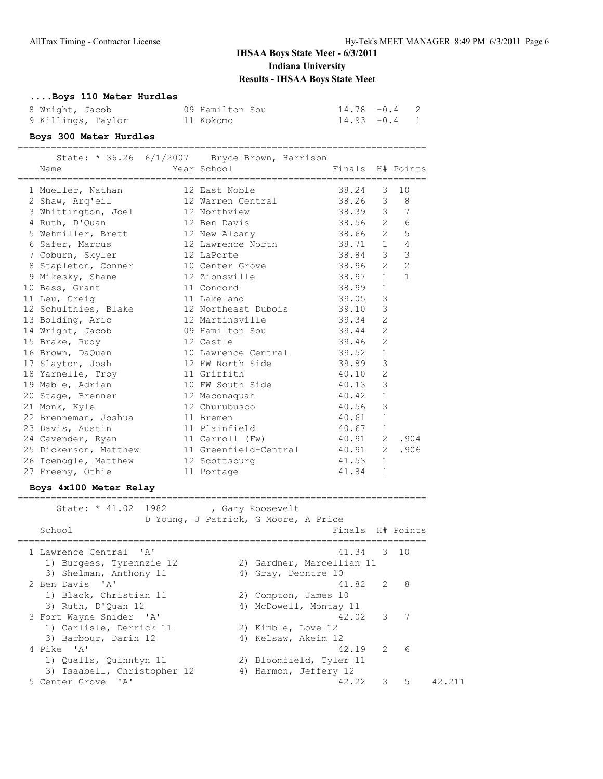## **....Boys 110 Meter Hurdles**

| 8 Wright, Jacob    | 09 Hamilton Sou | $14.78 - 0.4$ 2 |
|--------------------|-----------------|-----------------|
| 9 Killings, Taylor | 11 Kokomo       | $14.93 - 0.4$ 1 |

#### **Boys 300 Meter Hurdles**

| Name                             | State: * 36.26 6/1/2007 Bryce Brown, Harrison<br>Year School | Finals H# Points |                |                |
|----------------------------------|--------------------------------------------------------------|------------------|----------------|----------------|
| 1 Mueller, Nathan                | 12 East Noble                                                | 38.24            | 3              | 10             |
| 2 Shaw, Arq'eil                  | 12 Warren Central                                            | 38.26 3 8        |                |                |
| 3 Whittington, Joel              | 12 Northview                                                 | 38.39            | $3 -$          | 7              |
| 4 Ruth, D'Quan                   | 12 Ben Davis                                                 | 38.56            | $\overline{2}$ | 6              |
| 5 Wehmiller, Brett               | 12 New Albany                                                | 38.66            | $\overline{2}$ | 5              |
| 6 Safer, Marcus                  | 12 Lawrence North                                            | 38.71            | 1              | $\overline{4}$ |
| 7 Coburn, Skyler                 | 12 LaPorte                                                   | 38.84            | $\mathcal{E}$  | 3              |
| 8 Stapleton, Conner              | 10 Center Grove                                              | 38.96            | $\overline{2}$ | $\overline{2}$ |
| 9 Mikesky, Shane                 | 12 Zionsville                                                | 38.97            | $\mathbf{1}$   | $\mathbf{1}$   |
| 10 Bass, Grant                   | 11 Concord                                                   | 38.99            | $\mathbf{1}$   |                |
| 11 Leu, Creig                    | 11 Lakeland                                                  | 39.05            | 3              |                |
| 12 Schulthies, Blake             | 12 Northeast Dubois                                          | 39.10            | 3              |                |
| 13 Bolding, Aric                 | 12 Martinsville                                              | 39.34            | $\overline{2}$ |                |
| 14 Wright, Jacob                 | 09 Hamilton Sou                                              | 39.44            | $\overline{c}$ |                |
| 15 Brake, Rudy                   | 12 Castle                                                    | 39.46            | $\overline{2}$ |                |
| 16 Brown, DaQuan                 | 10 Lawrence Central                                          | 39.52            | $\mathbf{1}$   |                |
| 17 Slayton, Josh                 | 12 FW North Side                                             | 39.89            | 3              |                |
| 18 Yarnelle, Troy                | 11 Griffith                                                  | 40.10            | $\overline{2}$ |                |
| 19 Mable, Adrian                 | 10 FW South Side                                             | 40.13            | 3              |                |
| 20 Stage, Brenner                | 12 Maconaquah                                                | 40.42            | $\mathbf{1}$   |                |
| 21 Monk, Kyle                    | 12 Churubusco                                                | 40.56            | 3              |                |
| 22 Brenneman, Joshua             | 11 Bremen                                                    | 40.61            | $\mathbf{1}$   |                |
| 23 Davis, Austin                 | 11 Plainfield                                                | 40.67            | $\mathbf{1}$   |                |
| 24 Cavender, Ryan                | 11 Carroll (Fw)                                              | 40.91            | $2^{\circ}$    | .904           |
| 25 Dickerson, Matthew            | 11 Greenfield-Central                                        | 40.91            | $\overline{2}$ | .906           |
| 26 Icenogle, Matthew             | 12 Scottsburg                                                | 41.53            | $\overline{1}$ |                |
| 27 Freeny, Othie                 | 11 Portage                                                   | 41.84            | $\mathbf{1}$   |                |
| Boys 4x100 Meter Relay           |                                                              |                  |                |                |
| =========<br>State: * 41.02 1982 | , Gary Roosevelt                                             |                  |                |                |

|                             | D Young, J Patrick, G Moore, A Price    |
|-----------------------------|-----------------------------------------|
| School                      | Finals H# Points                        |
| 1 Lawrence Central 'A'      | 41.34 3 10                              |
| 1) Burgess, Tyrennzie 12    | 2) Gardner, Marcellian 11               |
| 3) Shelman, Anthony 11      | 4) Gray, Deontre 10                     |
| 2 Ben Davis 'A'             | 41.82 2 8                               |
| 1) Black, Christian 11      | 2) Compton, James 10                    |
| 3) Ruth, D'Quan 12          | 4) McDowell, Montay 11                  |
| 3 Fort Wayne Snider 'A'     | 42.02 3 7                               |
| 1) Carlisle, Derrick 11     | 2) Kimble, Love 12                      |
| 3) Barbour, Darin 12        | 4) Kelsaw, Akeim 12                     |
| 4 Pike 'A'                  | $42.19$ 2 6                             |
| 1) Qualls, Quinntyn 11      | 2) Bloomfield, Tyler 11                 |
| 3) Isaabell, Christopher 12 | 4) Harmon, Jeffery 12                   |
| 5 Center Grove 'A'          | $5\overline{)}$<br>3<br>42.22<br>42.211 |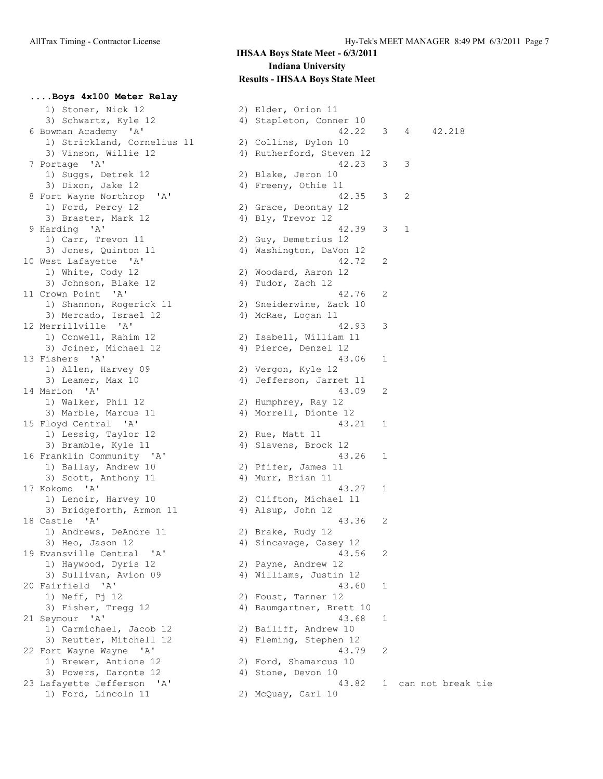**....Boys 4x100 Meter Relay** 1) Stoner, Nick 12 2) Elder, Orion 11 3) Schwartz, Kyle 12 6 Bowman Academy 'A' 1) Strickland, Cornelius 11 3) Vinson, Willie 12 7 Portage 'A' 1) Suggs, Detrek 12 3) Dixon, Jake 12 8 Fort Wayne Northrop 'A' 1) Ford, Percy 12 3) Braster, Mark 12 9 Harding 'A' 1) Carr, Trevon 11 3) Jones, Quinton 11 10 West Lafayette 'A' 1) White, Cody 12 3) Johnson, Blake 12 11 Crown Point 'A' 1) Shannon, Rogerick 11 3) Mercado, Israel 12 12 Merrillville 'A' 1) Conwell, Rahim 12 3) Joiner, Michael 12 13 Fishers 'A' 1) Allen, Harvey 09 3) Leamer, Max 10 14 Marion 'A' 1) Walker, Phil 12 3) Marble, Marcus 11 15 Floyd Central 'A' 1) Lessig, Taylor 12 3) Bramble, Kyle 11 16 Franklin Community 'A' 1) Ballay, Andrew 10 3) Scott, Anthony 11 17 Kokomo 'A' 1) Lenoir, Harvey 10 3) Bridgeforth, Armon 11 18 Castle 'A' 1) Andrews, DeAndre 11 3) Heo, Jason 12 19 Evansville Central 'A' 1) Haywood, Dyris 12 3) Sullivan, Avion 09 20 Fairfield 'A' 1) Neff,  $P_1$  12 3) Fisher, Tregg 12 21 Seymour 'A' 1) Carmichael, Jacob 12 3) Reutter, Mitchell 12 22 Fort Wayne Wayne 'A' 1) Brewer, Antione 12 3) Powers, Daronte 12 23 Lafayette Jefferson 'A' 1) Ford, Lincoln 11

| Z) | Elder, Orion II         |   |            |                   |
|----|-------------------------|---|------------|-------------------|
| 4) | Stapleton, Conner 10    |   |            |                   |
|    | 42.22                   | 3 | $4\degree$ | 42.218            |
|    | 2) Collins, Dylon 10    |   |            |                   |
|    |                         |   |            |                   |
| 4) | Rutherford, Steven 12   |   |            |                   |
|    | 42.23                   | 3 | 3          |                   |
| 2) | Blake, Jeron 10         |   |            |                   |
| 4) | Freeny, Othie 11        |   |            |                   |
|    |                         |   |            |                   |
|    | 42.35                   | 3 | 2          |                   |
|    | 2) Grace, Deontay 12    |   |            |                   |
| 4) | Bly, Trevor 12          |   |            |                   |
|    | 42.39                   | 3 | 1          |                   |
|    |                         |   |            |                   |
|    | 2) Guy, Demetrius 12    |   |            |                   |
|    | 4) Washington, DaVon 12 |   |            |                   |
|    | 42.72                   | 2 |            |                   |
|    | 2) Woodard, Aaron 12    |   |            |                   |
|    |                         |   |            |                   |
| 4) | Tudor, Zach 12          |   |            |                   |
|    | 42.76                   | 2 |            |                   |
| 2) | Sneiderwine, Zack 10    |   |            |                   |
| 4) | McRae, Logan 11         |   |            |                   |
|    | 42.93                   | 3 |            |                   |
|    |                         |   |            |                   |
| 2) | Isabell, William 11     |   |            |                   |
| 4) | Pierce, Denzel 12       |   |            |                   |
|    | 43.06                   | 1 |            |                   |
|    | 2) Vergon, Kyle 12      |   |            |                   |
|    |                         |   |            |                   |
| 4) | Jefferson, Jarret 11    |   |            |                   |
|    | 43.09                   | 2 |            |                   |
| 2) | Humphrey, Ray 12        |   |            |                   |
| 4) | Morrell, Dionte 12      |   |            |                   |
|    |                         |   |            |                   |
|    | 43.21                   | 1 |            |                   |
| 2) | Rue, Matt 11            |   |            |                   |
| 4) | Slavens, Brock 12       |   |            |                   |
|    | 43.26                   | 1 |            |                   |
|    |                         |   |            |                   |
|    | 2) Pfifer, James 11     |   |            |                   |
| 4) | Murr, Brian 11          |   |            |                   |
|    | 43.27                   | 1 |            |                   |
|    | 2) Clifton, Michael 11  |   |            |                   |
|    |                         |   |            |                   |
| 4) | Alsup, John 12          |   |            |                   |
|    | 43.36                   | 2 |            |                   |
| 2) | Brake, Rudy 12          |   |            |                   |
| 4) | Sincavage, Casey 12     |   |            |                   |
|    | 43.56                   | 2 |            |                   |
|    |                         |   |            |                   |
|    | 2) Payne, Andrew 12     |   |            |                   |
|    | 4) Williams, Justin 12  |   |            |                   |
|    | 43.60                   | 1 |            |                   |
| 2) | Foust, Tanner 12        |   |            |                   |
|    |                         |   |            |                   |
| 4) | Baumgartner, Brett 10   |   |            |                   |
|    | 43.68                   | 1 |            |                   |
| 2) | Bailiff, Andrew 10      |   |            |                   |
| 4) | Fleming, Stephen 12     |   |            |                   |
|    |                         |   |            |                   |
|    | 43.79                   | 2 |            |                   |
| 2) | Ford, Shamarcus 10      |   |            |                   |
| 4) | Stone, Devon 10         |   |            |                   |
|    | 43.82                   | 1 |            | can not break tie |
|    |                         |   |            |                   |
| 2) | McQuay, Carl<br>10      |   |            |                   |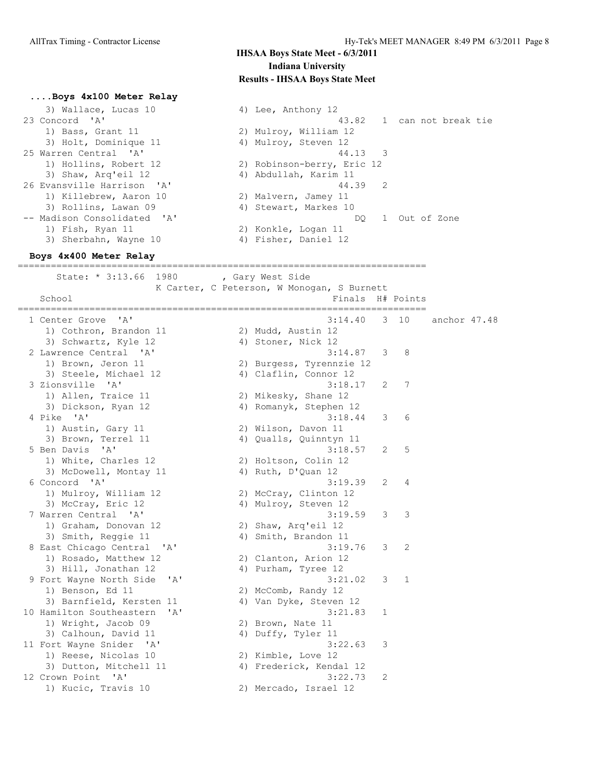# **....Boys 4x100 Meter Relay**

```
3) Wallace, Lucas 10 <br>Concord 'A' 43.82 1 can not break tie
 23 Concord 'A' 43.82 1 can not break tie
 1) Bass, Grant 11 2) Mulroy, William 12
3) Holt, Dominique 11 4) Mulroy, Steven 12
 25 Warren Central 'A' 44.13 3
 1) Hollins, Robert 12 2) Robinson-berry, Eric 12
 3) Shaw, Arq'eil 12 4) Abdullah, Karim 11
 26 Evansville Harrison 'A' 44.39 2
1) Killebrew, Aaron 10 2) Malvern, Jamey 11
3) Rollins, Lawan 09 \hskip1cm 4) Stewart, Markes 10
 -- Madison Consolidated 'A' DQ 1 Out of Zone
1) Fish, Ryan 11 2) Konkle, Logan 11
3) Sherbahn, Wayne 10 \hskip 1.5cm 4) Fisher, Daniel 12
```
#### **Boys 4x400 Meter Relay**

========================================================================== State: \* 3:13.66 1980 , Gary West Side

K Carter, C Peterson, W Monogan, S Burnett School **Finals H#** Points ========================================================================== 1 Center Grove 'A' 3:14.40 3 10 anchor 47.48 1) Cothron, Brandon 11 2) Mudd, Austin 12 3) Schwartz, Kyle 12 (4) Stoner, Nick 12 2 Lawrence Central 'A' 3:14.87 3 8 1) Brown, Jeron 11 2) Burgess, Tyrennzie 12 3) Steele, Michael 12 4) Claflin, Connor 12 3 Zionsville 'A' 3:18.17 2 7 1) Allen, Traice 11 2) Mikesky, Shane 12 3) Dickson, Ryan 12 4) Romanyk, Stephen 12 4 Pike 'A' 3:18.44 3 6 1) Austin, Gary 11 2) Wilson, Davon 11 3) Brown, Terrel 11 4) Qualls, Quinntyn 11 5 Ben Davis 'A' 3:18.57 2 5 1) White, Charles 12 2) Holtson, Colin 12 3) McDowell, Montay 11 4) Ruth, D'Quan 12 6 Concord 'A' 3:19.39 2 4 1) Mulroy, William 12 2) McCray, Clinton 12<br>
3) McCray, Eric 12 4) Mulroy, Steven 12<br>
7 Warren Central 'A' 3:19.59 3) McCray, Eric 12 4) Mulroy, Steven 12 7 Warren Central 'A' 3:19.59 3 3 1) Graham, Donovan 12 2) Shaw, Arq'eil 12 3) Smith, Reggie 11 4) Smith, Brandon 11 8 East Chicago Central 'A' 3:19.76 3 2 1) Rosado, Matthew 12 2) Clanton, Arion 12 3) Hill, Jonathan 12 (4) Purham, Tyree 12 9 Fort Wayne North Side 'A' 3:21.02 3 1 1) Benson, Ed 11 2) McComb, Randy 12 3) Barnfield, Kersten 11 4) Van Dyke, Steven 12 10 Hamilton Southeastern 'A' 3:21.83 1 1) Wright, Jacob 09 2) Brown, Nate 11 3) Calhoun, David 11 4) Duffy, Tyler 11 11 Fort Wayne Snider 'A' 3:22.63 3 1) Reese, Nicolas 10 2) Kimble, Love 12 3) Califoun, Bavid 11 4) Burry, Tylet 11<br>11 Fort Wayne Snider 'A' 3:22.63<br>1) Reese, Nicolas 10 2) Kimble, Love 12<br>3) Dutton, Mitchell 11 4) Frederick, Kendal 12<br>12 Crown Point 'A' 3:22.73 12 Crown Point 'A' 3:22.73 2 1) Kucic, Travis 10 2) Mercado, Israel 12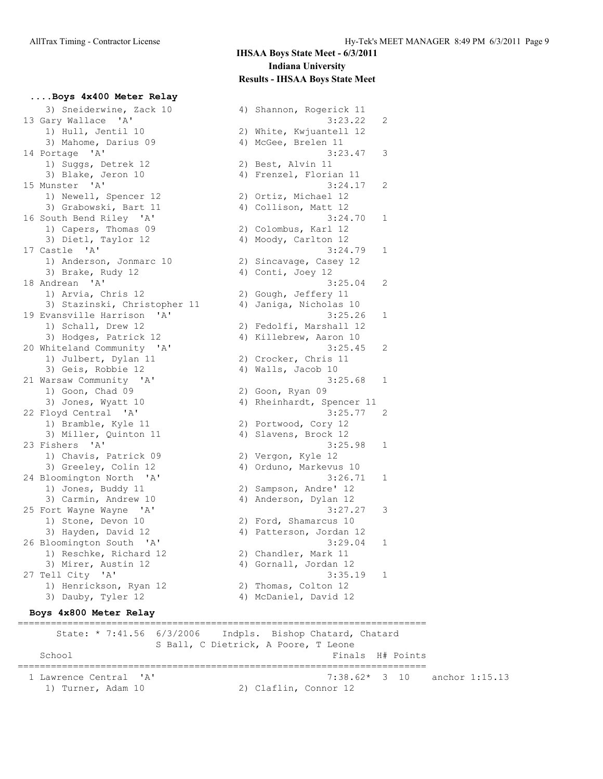**....Boys 4x400 Meter Relay**

e<br>3) Sneiderwine, Zack 10 4) Shannon, Rogerick 11<br>3:23.22 3:23.22 13 Gary Wallace 'A' 3:23.22 2 1) Hull, Jentil 10 2) White, Kwjuantell 12 3) Mahome, Darius 09 4) McGee, Brelen 11 14 Portage 'A' 3:23.47 3 1) Suggs, Detrek 12 2) Best, Alvin 11 3) Blake, Jeron 10 4) Frenzel, Florian 11 15 Munster 'A' 3:24.17 2 1) Newell, Spencer 12 2) Ortiz, Michael 12 3) Grabowski, Bart 11 (4) Collison, Matt 12 16 South Bend Riley 'A' 3:24.70 1 1) Capers, Thomas 09 2) Colombus, Karl 12 3) Dietl, Taylor 12 4) Moody, Carlton 12 17 Castle 'A' 3:24.79 1 1) Anderson, Jonmarc 10 2) Sincavage, Casey 12 3) Brake, Rudy 12 (4) Conti, Joey 12 18 Andrean 'A' 3:25.04 2 1) Arvia, Chris 12 2) Gough, Jeffery 11 3) Stazinski, Christopher 11 4) Janiga, Nicholas 10 19 Evansville Harrison 'A' 3:25.26 1 1) Schall, Drew 12 2) Fedolfi, Marshall 12 3) Hodges, Patrick 12 4) Killebrew, Aaron 10 20 Whiteland Community 'A' 3:25.45 2 1) Julbert, Dylan 11 2) Crocker, Chris 11 3) Geis, Robbie 12 4) Walls, Jacob 10 21 Warsaw Community 'A' 3:25.68 1 1) Goon, Chad 09 2) Goon, Ryan 09 3) Jones, Wyatt 10 4) Rheinhardt, Spencer 11 22 Floyd Central 'A' 3:25.77 2 1) Bramble, Kyle 11 2) Portwood, Cory 12 3) Miller, Quinton 11 (4) Slavens, Brock 12 23 Fishers 'A' 3:25.98 1 1) Chavis, Patrick 09 2) Vergon, Kyle 12 3) Greeley, Colin 12 4) Orduno, Markevus 10 24 Bloomington North 'A' 3:26.71 1 1) Jones, Buddy 11 2) Sampson, Andre' 12 3) Carmin, Andrew 10 4) Anderson, Dylan 12 25 Fort Wayne Wayne 'A' 3:27.27 3 1) Stone, Devon 10 2) Ford, Shamarcus 10 3) Hayden, David 12 4) Patterson, Jordan 12 26 Bloomington South 'A' 3:29.04 1 1) Reschke, Richard 12 2) Chandler, Mark 11 3) Mirer, Austin 12 4) Gornall, Jordan 12 27 Tell City 'A' 3:35.19 1 1) Henrickson, Ryan 12 2) Thomas, Colton 12 3) Dauby, Tyler 12 4) McDaniel, David 12 **Boys 4x800 Meter Relay**

========================================================================== State: \* 7:41.56 6/3/2006 Indpls. Bishop Chatard, Chatard S Ball, C Dietrick, A Poore, T Leone School Finals H# Points ========================================================================== 1 Lawrence Central 'A' 7:38.62\* 3 10 anchor 1:15.13 1) Turner, Adam 10 2) Claflin, Connor 12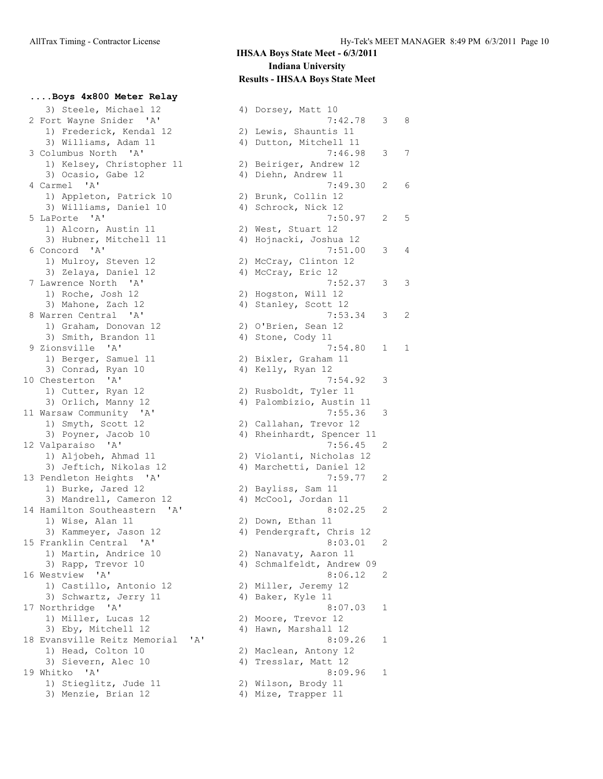# **....Boys 4x800 Meter Relay** 3) Steele, Michael 12 4) Dorsey, Matt 10 1) Frederick, Kendal 12 3) Williams, Adam 11 1) Kelsey, Christopher 11 3) Ocasio, Gabe 12 1) Appleton, Patrick 10 3) Williams, Daniel 10 1) Alcorn, Austin 11 3) Hubner, Mitchell 11 1) Mulroy, Steven 12 3) Zelaya, Daniel 12 1) Roche, Josh 12 3) Mahone, Zach 12 1) Graham, Donovan 12 3) Smith, Brandon 11 1) Berger, Samuel 11 2) Bixler, Graham 11 3) Conrad, Ryan 10 10 Chesterton 'A' 1) Cutter, Ryan 12 3) Orlich, Manny 12 11 Warsaw Community 'A' 1) Smyth, Scott 12 3) Poyner, Jacob 10 12 Valparaiso 'A' 1) Aljobeh, Ahmad 11 3) Jeftich, Nikolas 12 13 Pendleton Heights 'A' 1) Burke, Jared 12 3) Mandrell, Cameron 12 14 Hamilton Southeastern 'A' 1) Wise, Alan 11 3) Kammeyer, Jason 12 15 Franklin Central 'A' 1) Martin, Andrice 10 3) Rapp, Trevor 10 16 Westview 'A' 1) Castillo, Antonio 12 3) Schwartz, Jerry 11 17 Northridge 'A' 8:07.03 1 1) Miller, Lucas 12 2) Moore, Trevor 12 3) Eby, Mitchell 12 18 Evansville Reitz Memorial 'A' 1) Head, Colton 10 3) Sievern, Alec 10 19 Whitko 'A' 1) Stieglitz, Jude 11 3) Menzie, Brian 12

| 3) Steele, Michael IZ                      |      | 4) DOYSEY, MATT IV        |   |   |
|--------------------------------------------|------|---------------------------|---|---|
| 2 Fort Wayne Snider 'A'                    |      | 7:42.78                   | 3 | 8 |
| 1) Frederick, Kendal 12                    |      | 2) Lewis, Shauntis 11     |   |   |
| 3) Williams, Adam 11                       |      | 4) Dutton, Mitchell 11    |   |   |
| 3 Columbus North 'A'                       |      | 7:46.98                   | 3 | 7 |
|                                            |      |                           |   |   |
| 1) Kelsey, Christopher 11                  |      | 2) Beiriger, Andrew 12    |   |   |
| 3) Ocasio, Gabe 12                         |      | 4) Diehn, Andrew 11       |   |   |
| 4 Carmel 'A'                               |      | 7:49.30                   | 2 | 6 |
| 1) Appleton, Patrick 10                    |      | 2) Brunk, Collin 12       |   |   |
| 3) Williams, Daniel 10                     |      | 4) Schrock, Nick 12       |   |   |
| 5 LaPorte<br>'A'                           |      | 7:50.97                   | 2 | 5 |
| 1) Alcorn, Austin 11                       |      | 2) West, Stuart 12        |   |   |
| 3) Hubner, Mitchell 11                     |      | 4) Hojnacki, Joshua 12    |   |   |
| 6 Concord 'A'                              |      | 7:51.00                   | 3 | 4 |
| 1) Mulroy, Steven 12                       |      |                           |   |   |
|                                            |      | 2) McCray, Clinton 12     |   |   |
| 3) Zelaya, Daniel 12                       |      | 4) McCray, Eric 12        |   |   |
| 7 Lawrence North 'A'                       |      | 7:52.37                   | 3 | 3 |
| 1) Roche, Josh 12                          |      | 2) Hogston, Will 12       |   |   |
| 3) Mahone, Zach 12                         |      | 4) Stanley, Scott 12      |   |   |
| 8 Warren Central 'A'                       |      | 7:53.34                   | 3 | 2 |
| 1) Graham, Donovan 12                      |      | 2) O'Brien, Sean 12       |   |   |
| 3) Smith, Brandon 11                       |      | 4) Stone, Cody 11         |   |   |
| 9 Zionsville<br>$^{\prime}$ A $^{\prime}$  |      | 7:54.80                   | 1 | 1 |
| 1) Berger, Samuel 11                       |      | 2) Bixler, Graham 11      |   |   |
| 3) Conrad, Ryan 10                         |      | 4) Kelly, Ryan 12         |   |   |
| 10 Chesterton 'A'                          |      | 7:54.92                   | 3 |   |
| 1) Cutter, Ryan 12                         |      | 2) Rusboldt, Tyler 11     |   |   |
| 3) Orlich, Manny 12                        |      | 4) Palombizio, Austin 11  |   |   |
| 11 Warsaw Community 'A'                    |      | 7:55.36                   | 3 |   |
|                                            |      |                           |   |   |
| 1) Smyth, Scott 12                         |      | 2) Callahan, Trevor 12    |   |   |
| 3) Poyner, Jacob 10                        |      | 4) Rheinhardt, Spencer 11 |   |   |
| 12 Valparaiso 'A'                          |      | 7:56.45                   | 2 |   |
| 1) Aljobeh, Ahmad 11                       |      | 2) Violanti, Nicholas 12  |   |   |
| 3) Jeftich, Nikolas 12                     |      | 4) Marchetti, Daniel 12   |   |   |
| 13 Pendleton Heights 'A'                   |      | 7:59.77                   | 2 |   |
| 1) Burke, Jared 12                         |      | 2) Bayliss, Sam 11        |   |   |
| 3) Mandrell, Cameron 12                    |      | 4) McCool, Jordan 11      |   |   |
| 14 Hamilton Southeastern<br>' A '          |      | 8:02.25                   | 2 |   |
| 1) Wise, Alan 11                           |      | 2) Down, Ethan 11         |   |   |
| 3) Kammeyer, Jason 12                      |      | 4) Pendergraft, Chris 12  |   |   |
| 15 Franklin Central 'A'                    |      | 8:03.01                   | 2 |   |
| 1) Martin, Andrice 10                      |      | 2) Nanavaty, Aaron 11     |   |   |
| 3) Rapp, Trevor 10                         |      | 4) Schmalfeldt, Andrew 09 |   |   |
| 16 Westview 'A'                            |      | 8:06.12                   | 2 |   |
|                                            |      |                           |   |   |
| 1) Castillo, Antonio 12                    |      | 2) Miller, Jeremy 12      |   |   |
| 3) Schwartz, Jerry 11                      |      | 4) Baker, Kyle 11         |   |   |
| $^{\prime}$ A $^{\prime}$<br>17 Northridge |      | 8:07.03                   | 1 |   |
| 1) Miller, Lucas 12                        |      | 2) Moore, Trevor 12       |   |   |
| 3) Eby, Mitchell 12                        |      | 4) Hawn, Marshall 12      |   |   |
| 18 Evansville Reitz Memorial               | ' A' | 8:09.26                   | 1 |   |
| 1) Head, Colton 10                         |      | 2) Maclean, Antony 12     |   |   |
| 3) Sievern, Alec 10                        |      | 4) Tresslar, Matt 12      |   |   |
| 19 Whitko<br>' A'                          |      | 8:09.96                   | 1 |   |
| 1) Stieglitz, Jude 11                      |      | 2) Wilson, Brody 11       |   |   |
| 3) Menzie, Brian 12                        |      | 4) Mize, Trapper 11       |   |   |
|                                            |      |                           |   |   |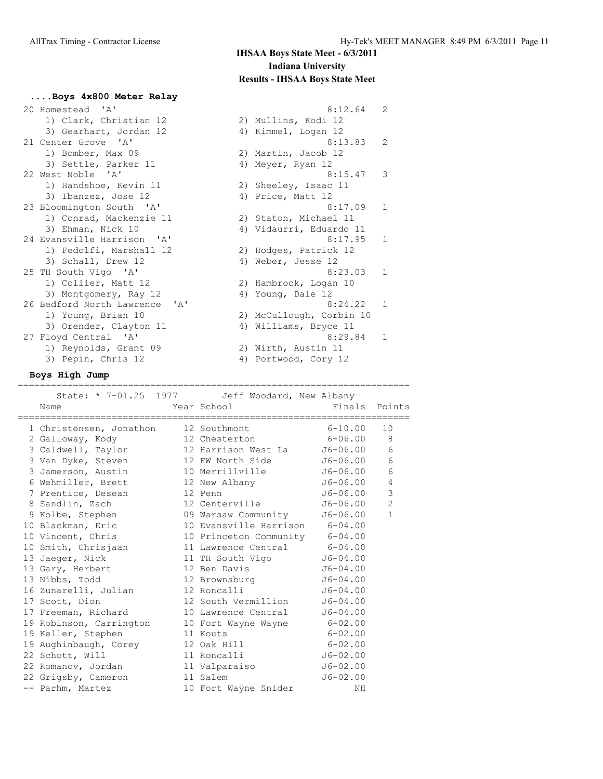## **....Boys 4x800 Meter Relay**

| 20 Homestead 'A'              | 8:12.64<br>$\overline{c}$          |
|-------------------------------|------------------------------------|
| 1) Clark, Christian 12        | 2) Mullins, Kodi 12                |
| 3) Gearhart, Jordan 12        | 4) Kimmel, Logan 12                |
| 21 Center Grove 'A'           | $\overline{2}$<br>8:13.83          |
| 1) Bomber, Max 09             | 2) Martin, Jacob 12                |
| 3) Settle, Parker 11          | 4) Meyer, Ryan 12                  |
| 22 West Noble 'A'             | $\overline{\mathbf{3}}$<br>8:15.47 |
| 1) Handshoe, Kevin 11         | 2) Sheeley, Isaac 11               |
| 3) Ibanzez, Jose 12           | 4) Price, Matt 12                  |
| 23 Bloomington South 'A'      | $\mathbf{1}$<br>8:17.09            |
| 1) Conrad, Mackenzie 11       | 2) Staton, Michael 11              |
| 3) Ehman, Nick 10             | 4) Vidaurri, Eduardo 11            |
| 24 Evansville Harrison 'A'    | 8:17.95<br>1                       |
| 1) Fedolfi, Marshall 12       | 2) Hodges, Patrick 12              |
| 3) Schall, Drew 12            | 4) Weber, Jesse 12                 |
| 25 TH South Vigo 'A'          | $\mathbf{1}$<br>8:23.03            |
| 1) Collier, Matt 12           | 2) Hambrock, Logan 10              |
| 3) Montgomery, Ray 12         | 4) Young, Dale 12                  |
| 26 Bedford North Lawrence 'A' | 8:24.22<br>$\mathbf{1}$            |
| 1) Young, Brian 10            | 2) McCullough, Corbin 10           |
| 3) Orender, Clayton 11        | 4) Williams, Bryce 11              |
| 27 Floyd Central 'A'          | 8:29.84<br>1                       |
| 1) Reynolds, Grant 09         | 2) Wirth, Austin 11                |
| 3) Pepin, Chris 12            | 4) Portwood, Cory 12               |

#### **Boys High Jump**

======================================================================= State: \* 7-01.25 1977 Jeff Woodard, New Albany

| Name                                                                                         | State: * 7-01.25 1977 Jeff Woodard, New Albany<br>Year School | Finals Points |                |
|----------------------------------------------------------------------------------------------|---------------------------------------------------------------|---------------|----------------|
| 1 Christensen, Jonathon 12 Southmont 6-10.00                                                 |                                                               |               | 10             |
| 2 Galloway, Kody 12 Chesterton 6-06.00 8                                                     |                                                               |               |                |
| 3 Caldwell, Taylor 12 Harrison West La 56-06.00                                              |                                                               |               | - 6            |
| 3 Van Dyke, Steven 12 FW North Side J6-06.00                                                 |                                                               |               | 6              |
| 3 Jamerson, Austin 10 Merrillville 56-06.00                                                  |                                                               |               | 6              |
| 6 Wehmiller, Brett 12 New Albany 56-06.00                                                    |                                                               |               | $\overline{4}$ |
| 7 Prentice, Desean 12 Penn                                                                   |                                                               | $J6 - 06.00$  | $\mathsf 3$    |
| 8 Sandlin, Zach and 12 Centerville 56-06.00                                                  |                                                               |               | $\overline{2}$ |
| 9 Kolbe, Stephen 69 Warsaw Community 56-06.00                                                |                                                               |               | $\mathbf{1}$   |
| 10 Blackman, Eric 10 Evansville Harrison 6-04.00                                             |                                                               |               |                |
| 10 Vincent, Chris 10 Princeton Community 6-04.00                                             |                                                               |               |                |
| 10 Smith, Chrisjaan 11 Lawrence Central 6-04.00                                              |                                                               |               |                |
| 13 Jaeger, Nick 11 TH South Vigo J6-04.00                                                    |                                                               |               |                |
| 13 Gary, Herbert 12 Ben Davis 56-04.00                                                       |                                                               |               |                |
| 13 Nibbs, Todd 12 Brownsburg 56-04.00                                                        |                                                               |               |                |
|                                                                                              |                                                               |               |                |
| 16 Zunarelli, Julian 12 Roncalli 16-04.00<br>17 Scott, Dion and 12 South Vermillion 56-04.00 |                                                               |               |                |
| 17 Freeman, Richard                                                                          |                                                               |               |                |
|                                                                                              | 10 Lawrence Central J6-04.00                                  |               |                |
| 19 Robinson, Carrington 10 Fort Wayne Wayne 6-02.00                                          |                                                               |               |                |
| 19 Keller, Stephen 11 Kouts 6-02.00                                                          |                                                               |               |                |
| 19 Aughinbaugh, Corey 12 Oak Hill 6-02.00<br>22 Schott, Will 11 Roncalli 56-02.00            |                                                               |               |                |
|                                                                                              |                                                               |               |                |
| 22 Romanov, Jordan 11 Valparaiso                                                             |                                                               | $J6-02.00$    |                |
| 22 Grigsby, Cameron 11 Salem                                                                 |                                                               | $J6 - 02.00$  |                |
| -- Parhm, Martez                                                                             | 10 Fort Wayne Snider                                          | ΝH            |                |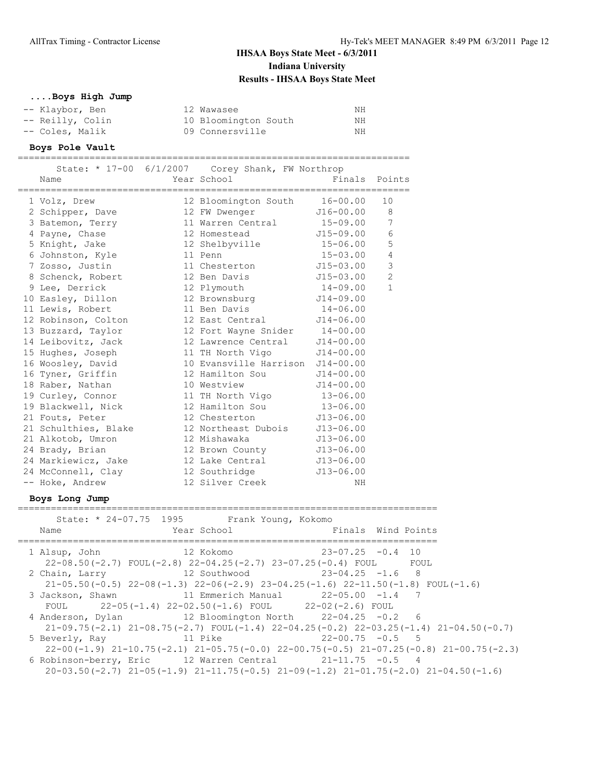### **....Boys High Jump**

| -- Klaybor, Ben  | 12 Wawasee           | ΝH |
|------------------|----------------------|----|
| -- Reilly, Colin | 10 Bloomington South | NH |
| -- Coles, Malik  | 09 Connersville      | NН |

#### **Boys Pole Vault**

======================================================================= State: \* 17-00 6/1/2007 Corey Shank, FW Northrop

| Name<br>================================ | State: * 17-00 6/1/2007 Corey Shank, FW Northrop<br>Year School and the School | Finals Points |                |
|------------------------------------------|--------------------------------------------------------------------------------|---------------|----------------|
| 1 Volz, Drew                             | 12 Bloomington South 16-00.00                                                  |               | 10             |
| 2 Schipper, Dave                         | 12 FW Dwenger                                                                  | J16-00.00     | 8              |
| 3 Batemon, Terry                         | 11 Warren Central                                                              | $15 - 09.00$  | 7              |
| 4 Payne, Chase                           | 12 Homestead J15-09.00                                                         |               | $\sqrt{6}$     |
| 5 Knight, Jake                           | 12 Shelbyville 15-06.00                                                        |               | 5              |
| 6 Johnston, Kyle                         | 11 Penn                                                                        | $15 - 03.00$  | $\sqrt{4}$     |
| 7 Zosso, Justin                          | 11 Chesterton                                                                  | $J15-03.00$   | $\mathfrak{Z}$ |
| 8 Schenck, Robert                        | 12 Ben Davis 515-03.00                                                         |               | $\overline{c}$ |
| 9 Lee, Derrick                           | 12 Plymouth                                                                    | $14 - 09.00$  | $\mathbf{1}$   |
| 10 Easley, Dillon                        | 12 Brownsburg J14-09.00                                                        |               |                |
| 11 Lewis, Robert                         | 11 Ben Davis                                                                   | $14 - 06.00$  |                |
| 12 Robinson, Colton                      | 12 East Central J14-06.00                                                      |               |                |
| 13 Buzzard, Taylor                       | 12 Fort Wayne Snider 14-00.00                                                  |               |                |
| 14 Leibovitz, Jack                       | 12 Lawrence Central J14-00.00                                                  |               |                |
|                                          | 15 Hughes, Joseph 11 TH North Vigo 314-00.00                                   |               |                |
| 16 Woosley, David                        | 10 Evansville Harrison J14-00.00                                               |               |                |
| 16 Tyner, Griffin                        | 12 Hamilton Sou J14-00.00                                                      |               |                |
| 18 Raber, Nathan                         | 10 Westview                                                                    | $J14 - 00.00$ |                |
| 19 Curley, Connor                        | 11 TH North Vigo 13-06.00                                                      |               |                |
| 19 Blackwell, Nick                       | 12 Hamilton Sou                                                                | $13 - 06.00$  |                |
| 21 Fouts, Peter                          | 12 Chesterton                                                                  | $J13 - 06.00$ |                |
| 21 Schulthies, Blake                     | 12 Northeast Dubois                                                            | $J13 - 06.00$ |                |
| 21 Alkotob, Umron                        | 12 Mishawaka                                                                   | $J13 - 06.00$ |                |
| 24 Brady, Brian                          | 12 Brown County                                                                | $J13 - 06.00$ |                |
| 24 Markiewicz, Jake                      | 12 Lake Central                                                                | $J13 - 06.00$ |                |
| 24 McConnell, Clay                       | 12 Southridge                                                                  | $J13 - 06.00$ |                |
| -- Hoke, Andrew                          | 12 Silver Creek                                                                | NH            |                |
|                                          |                                                                                |               |                |

#### **Boys Long Jump**

============================================================================ State: \* 24-07.75 1995 Frank Young, Kokomo Name **The Year School** Finals Wind Points ============================================================================ 1 Alsup, John 12 Kokomo 22-08.50(-2.7) FOUL(-2.8) 22-04.25(-2.7) 23-07.25(-0.4) FOUL FOUL 2 Chain, Larry 12 Southwood 23-04.25 -1.6 8 21-05.50(-0.5) 22-08(-1.3) 22-06(-2.9) 23-04.25(-1.6) 22-11.50(-1.8) FOUL(-1.6) 3 Jackson, Shawn 11 Emmerich Manual 22-05.00 -1.4 7 FOUL 22-05(-1.4) 22-02.50(-1.6) FOUL 22-02(-2.6) FOUL 4 Anderson, Dylan 12 Bloomington North 22-04.25 -0.2 6 21-09.75(-2.1) 21-08.75(-2.7) FOUL(-1.4) 22-04.25(-0.2) 22-03.25(-1.4) 21-04.50(-0.7) 5 Beverly, Ray 11 Pike 22-00.75 -0.5 5 22-00(-1.9) 21-10.75(-2.1) 21-05.75(-0.0) 22-00.75(-0.5) 21-07.25(-0.8) 21-00.75(-2.3) 6 Robinson-berry, Eric 12 Warren Central 21-11.75 -0.5 4 20-03.50(-2.7) 21-05(-1.9) 21-11.75(-0.5) 21-09(-1.2) 21-01.75(-2.0) 21-04.50(-1.6)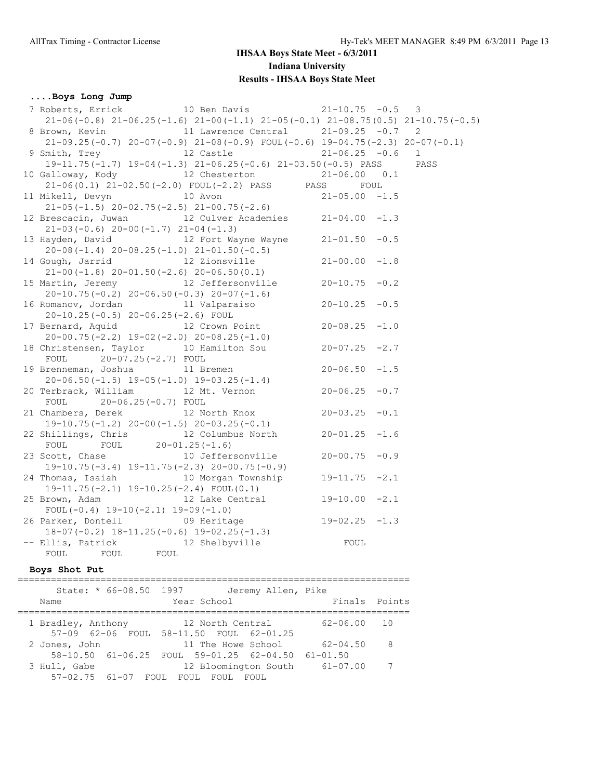## **....Boys Long Jump**

| 7 Roberts, Errick 10 Ben Davis 21-10.75 -0.5 3                                                                                     |                                                                                             |                    |   |
|------------------------------------------------------------------------------------------------------------------------------------|---------------------------------------------------------------------------------------------|--------------------|---|
|                                                                                                                                    | $21-06(-0.8)$ $21-06.25(-1.6)$ $21-00(-1.1)$ $21-05(-0.1)$ $21-08.75(0.5)$ $21-10.75(-0.5)$ |                    |   |
| 8 Brown, Kevin 11 Lawrence Central 21-09.25 -0.7                                                                                   |                                                                                             |                    | 2 |
|                                                                                                                                    | $21-09.25(-0.7)$ $20-07(-0.9)$ $21-08(-0.9)$ $FOUT(-0.6)$ $19-04.75(-2.3)$ $20-07(-0.1)$    |                    |   |
| 9 Smith, Trey 12 Castle 21-06.25 -0.6 1                                                                                            |                                                                                             |                    |   |
|                                                                                                                                    | $19-11.75(-1.7)$ $19-04(-1.3)$ $21-06.25(-0.6)$ $21-03.50(-0.5)$ PASS PASS                  |                    |   |
|                                                                                                                                    |                                                                                             |                    |   |
| 10 Galloway, Kody 12 Chesterton 21-06.00 0.1<br>21-06(0.1) 21-02.50(-2.0) FOUL(-2.2) PASS PASS FOUL                                |                                                                                             |                    |   |
| 11 Mikell, Devyn 10 Avon                                                                                                           |                                                                                             |                    |   |
|                                                                                                                                    | 21-05.00 -1.5<br>21-05.00 -1.5<br>Prescacin, Juwan 30.00 -1.5                               |                    |   |
| 12 Brescacin, Juwan 12 Culver Academies 21-04.00 -1.3                                                                              |                                                                                             |                    |   |
| $21-03(-0.6)$ $20-00(-1.7)$ $21-04(-1.3)$                                                                                          |                                                                                             |                    |   |
| 13 Hayden, David 12 Fort Wayne Wayne 21-01.50 -0.5                                                                                 |                                                                                             |                    |   |
| $20-08(-1.4)$ $20-08.25(-1.0)$ $21-01.50(-0.5)$                                                                                    |                                                                                             |                    |   |
| 14 Gough, Jarrid 12 Zionsville                                                                                                     |                                                                                             | $21-00.00 -1.8$    |   |
| $21-00(-1.8)$ $20-01.50(-2.6)$ $20-06.50(0.1)$                                                                                     |                                                                                             |                    |   |
| 15 Martin, Jeremy 12 Jeffersonville 20-10.75 -0.2                                                                                  |                                                                                             |                    |   |
| $20-10.75(-0.2)$ $20-06.50(-0.3)$ $20-07(-1.6)$                                                                                    |                                                                                             |                    |   |
| 16 Romanov, Jordan 11 Valparaiso                                                                                                   |                                                                                             | $20 - 10.25 - 0.5$ |   |
| 20-10.25(-0.5) 20-06.25(-2.6) FOUL                                                                                                 |                                                                                             |                    |   |
| 17 Bernard, Aquid 12 Crown Point 20-08.25 -1.0                                                                                     |                                                                                             |                    |   |
| $20-00.75(-2.2)$ 19-02(-2.0) 20-08.25(-1.0)                                                                                        |                                                                                             |                    |   |
| 18 Christensen, Taylor 10 Hamilton Sou 20-07.25 -2.7                                                                               |                                                                                             |                    |   |
| FOUL 20-07.25(-2.7) FOUL                                                                                                           |                                                                                             |                    |   |
| 19 Brenneman, Joshua 11 Bremen 19 20-06.50 -1.5                                                                                    |                                                                                             |                    |   |
| $20 - 06.50 (-1.5)$ 19-05(-1.0) 19-03.25(-1.4)                                                                                     |                                                                                             |                    |   |
| 20 Terbrack, William 12 Mt. Vernon 20-06.25 -0.7                                                                                   |                                                                                             |                    |   |
| FOUL 20-06.25(-0.7) FOUL                                                                                                           |                                                                                             |                    |   |
| 21 Chambers, Derek 12 North Knox 20-03.25 -0.1                                                                                     |                                                                                             |                    |   |
| $19-10.75(-1.2)$ $20-00(-1.5)$ $20-03.25(-0.1)$                                                                                    |                                                                                             |                    |   |
| 22 Shillings, Chris 12 Columbus North 20-01.25 -1.6                                                                                |                                                                                             |                    |   |
| FOUL FOUL $20-01.25(-1.6)$                                                                                                         |                                                                                             |                    |   |
| 23 Scott, Chase $10$ Jeffersonville $20-00.75$ -0.9                                                                                |                                                                                             |                    |   |
| $19-10.75(-3.4)$ $19-11.75(-2.3)$ $20-00.75(-0.9)$                                                                                 |                                                                                             |                    |   |
| 24 Thomas, Isaiah 10 Morgan Township 19-11.75 -2.1                                                                                 |                                                                                             |                    |   |
| $19-11.75(-2.1)$ $19-10.25(-2.4)$ FOUL $(0.1)$                                                                                     |                                                                                             |                    |   |
| 25 Brown, Adam 12 Lake Central 19-10.00 -2.1                                                                                       |                                                                                             |                    |   |
| FOUL $(-0.4)$ 19-10 $(-2.1)$ 19-09 $(-1.0)$                                                                                        |                                                                                             |                    |   |
|                                                                                                                                    |                                                                                             |                    |   |
| 26 Parker, Dontell 09 Heritage 19-02.25 -1.3<br>18-07(-0.2) 18-11.25(-0.6) 19-02.25(-1.3)<br>-- Ellis, Patrick 12 Shelbyville FOUL |                                                                                             |                    |   |
|                                                                                                                                    |                                                                                             |                    |   |
| FOUL<br>FOUL<br>FOUL                                                                                                               |                                                                                             |                    |   |

### **Boys Shot Put**

| State: $* 66-08.50 1997$<br>Name | Jeremy Allen, Pike<br>Year School                             | Finals Points |                |
|----------------------------------|---------------------------------------------------------------|---------------|----------------|
| 1 Bradley, Anthony               | 12 North Central                                              | 62-06.00 10   |                |
| 2 Jones, John                    | 57-09 62-06 FOUL 58-11.50 FOUL 62-01.25<br>11 The Howe School | $62 - 04.50$  | - 8            |
| 3 Hull, Gabe                     | 12 Bloomington South                                          | $61 - 07.00$  | $\overline{7}$ |
| 57-02.75 61-07 FOUL FOUL FOUL    | 58-10.50 61-06.25 FOUL 59-01.25 62-04.50 61-01.50<br>FOUL.    |               |                |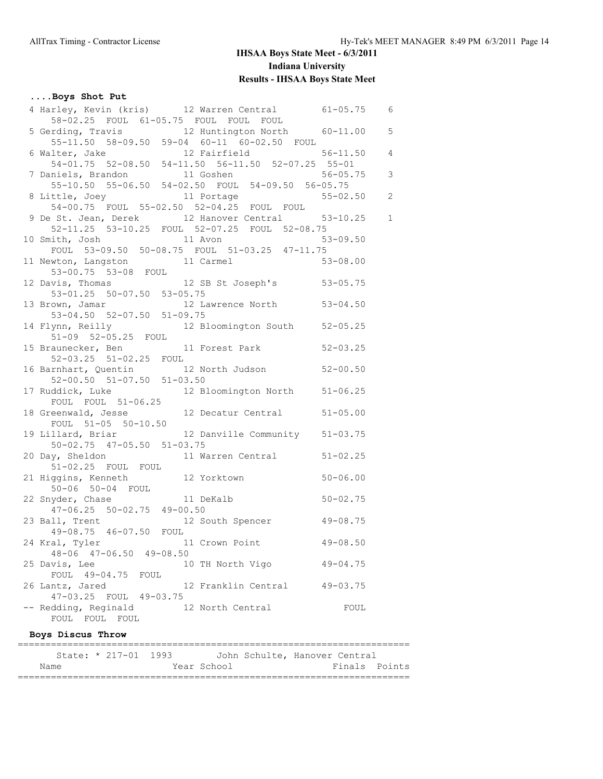## **....Boys Shot Put**

| 4 Harley, Kevin (kris) 12 Warren Central 61-05.75 6                                               |                |                |
|---------------------------------------------------------------------------------------------------|----------------|----------------|
| 58-02.25 FOUL 61-05.75 FOUL FOUL FOUL                                                             |                |                |
| 5 Gerding, Travis 12 Huntington North 60-11.00 5<br>55-11.50 58-09.50 59-04 60-11 60-02.50 FOUL   |                |                |
|                                                                                                   |                |                |
| 6 Walter, Jake 12 Fairfield 56-11.50 4<br>54-01.75 52-08.50 54-11.50 56-11.50 52-07.25 55-01      |                |                |
|                                                                                                   |                |                |
|                                                                                                   | $56 - 05.75$   | $\mathfrak{Z}$ |
| 7 Daniels, Brandon 11 Goshen 56-05.75<br>55-10.50 55-06.50 54-02.50 FOUL 54-09.50 56-05.75        |                |                |
| 8 Little, Joey 11 Portage                                                                         | $55 - 02.50$ 2 |                |
|                                                                                                   |                |                |
| 54-00.75 FOUL 55-02.50 52-04.25 FOUL FOUL<br>9 De St. Jean, Derek 12 Hanover Central 53-10.25 1   |                |                |
| 52-11.25 53-10.25 FOUL 52-07.25 FOUL 52-08.75                                                     |                |                |
| 10 Smith, Josh 11 Avon 53-09.50<br>FOUL 53-09.50 50-08.75 FOUL 51-03.25 47-11.75                  |                |                |
|                                                                                                   |                |                |
| 11 Newton, Langston 11 Carmel 53-08.00                                                            |                |                |
|                                                                                                   |                |                |
| 53-00.75 53-08 FOUL<br>12 Davis, Thomas 12 SB St Joseph's 53-05.75<br>53-01.25 50-07.50 53-05.75  |                |                |
|                                                                                                   |                |                |
| 13 Brown, Jamar 12 Lawrence North 53-04.50<br>53-04.50 52-07.50 51-09.75                          |                |                |
|                                                                                                   |                |                |
| 14 Flynn, Reilly 12 Bloomington South 52-05.25                                                    |                |                |
|                                                                                                   |                |                |
| 51-09 52-05.25 FOUL<br>15 Braunecker, Ben 11 Forest Park 52-03.25                                 |                |                |
| $52-03.25$ $51-02.25$ FOUL                                                                        |                |                |
| 16 Barnhart, Quentin 12 North Judson 52-00.50                                                     |                |                |
| 52-00.50 51-07.50 51-03.50                                                                        |                |                |
| 17 Ruddick, Luke 12 Bloomington North 51-06.25                                                    |                |                |
| FOUL FOUL 51-06.25                                                                                |                |                |
| 18 Greenwald, Jesse 12 Decatur Central 51-05.00<br>FOUL 51-05 50-10.50                            |                |                |
|                                                                                                   |                |                |
| 19 Lillard, Briar 12 Danville Community 51-03.75                                                  |                |                |
| 50-02.75 47-05.50 51-03.75                                                                        |                |                |
| 20 Day, Sheldon 11 Warren Central 51-02.25                                                        |                |                |
|                                                                                                   |                |                |
| )ay, Sneruon<br>51-02.25 FOUL FOUL<br>Licens. Kenneth 12 Yorktown 50-06.00<br>21 Higgins, Kenneth |                |                |
|                                                                                                   |                |                |
| 50-06 50-04 FOUL<br>22 Snyder, Chase 11 DeKalb 50-02.75                                           |                |                |
| $47-06.25$ $50-02.75$ $49-00.50$                                                                  |                |                |
|                                                                                                   |                |                |
| 23 Ball, Trent 12 South Spencer 49-08.75<br>49-08.75 46-07.50 FOUL                                |                |                |
| 24 Kral, Tyler 11 Crown Point 49-08.50                                                            |                |                |
| 48-06 47-06.50 49-08.50                                                                           |                |                |
| 25 Davis, Lee<br>10 TH North Vigo                                                                 | $49 - 04.75$   |                |
| FOUL 49-04.75<br>FOUL                                                                             |                |                |
| 12 Franklin Central<br>26 Lantz, Jared                                                            | 49-03.75       |                |
| 47-03.25 FOUL 49-03.75                                                                            |                |                |
| -- Redding, Reginald<br>12 North Central                                                          |                |                |
| FOUL FOUL FOUL                                                                                    | FOUL           |                |
|                                                                                                   |                |                |
|                                                                                                   |                |                |

**Boys Discus Throw**

|      | State: * 217-01 1993 |  |             | John Schulte, Hanover Central |               |  |
|------|----------------------|--|-------------|-------------------------------|---------------|--|
| Name |                      |  | Year School |                               | Finals Points |  |
|      |                      |  |             |                               |               |  |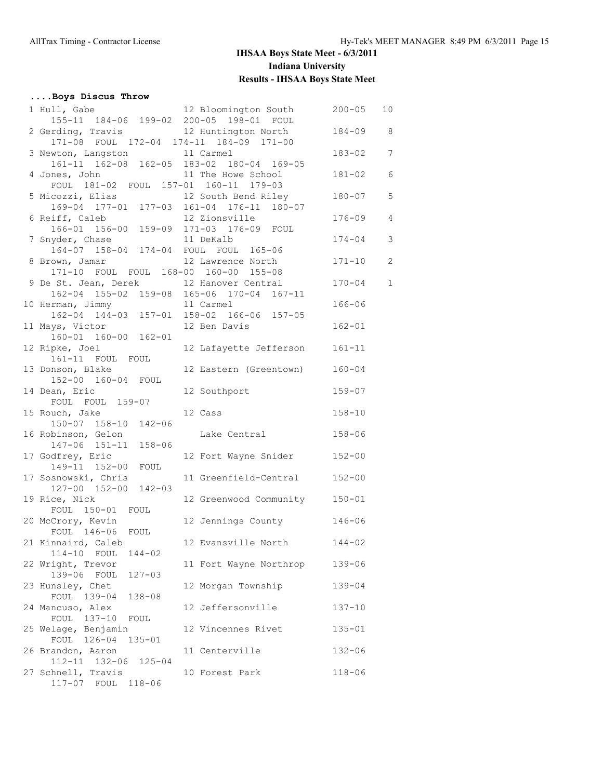#### **....Boys Discus Throw** 1 Hull, Gabe 12 Bloomington South 200-05 10 155-11 184-06 199-02 200-05 198-01 FOUL 2 Gerding, Travis 12 Huntington North 184-09 8 171-08 FOUL 172-04 174-11 184-09 171-00 3 Newton, Langston 11 Carmel 183-02 7 161-11 162-08 162-05 183-02 180-04 169-05 4 Jones, John 11 The Howe School 181-02 6 FOUL 181-02 FOUL 157-01 160-11 179-03 5 Micozzi, Elias 12 South Bend Riley 180-07 5 169-04 177-01 177-03 161-04 176-11 180-07 6 Reiff, Caleb 12 Zionsville 176-09 4 166-01 156-00 159-09 171-03 176-09 FOUL 7 Snyder, Chase 11 DeKalb 174-04 3 164-07 158-04 174-04 FOUL FOUL 165-06 8 Brown, Jamar 12 Lawrence North 171-10 2 171-10 FOUL FOUL 168-00 160-00 155-08 9 De St. Jean, Derek 12 Hanover Central 170-04 1 162-04 155-02 159-08 165-06 170-04 167-11 10 Herman, Jimmy 11 Carmel 166-06 162-04 144-03 157-01 158-02 166-06 157-05 11 Mays, Victor 12 Ben Davis 162-01 160-01 160-00 162-01 12 Ripke, Joel 12 Lafayette Jefferson 161-11 1982, 0001<br>161-11 FOUL FOUL 13 Donson, Blake 12 Eastern (Greentown) 160-04 152-00 160-04 FOUL 14 Dean, Eric 12 Southport 159-07 FOUL FOUL 159-07 15 Rouch, Jake 12 Cass 158-10 150-07 158-10 142-06 16 Robinson, Gelon Lake Central 158-06 147-06 151-11 158-06 17 Godfrey, Eric 12 Fort Wayne Snider 152-00 149-11 152-00 FOUL 17 Sosnowski, Chris 11 Greenfield-Central 152-00 17 Sosnowski, Chris<br>127-00 152-00 142-03 19 Rice, Nick 12 Greenwood Community 150-01 FOUL 150-01 FOUL 20 McCrory, Kevin 12 Jennings County 146-06 FOUL 146-06 FOUL 21 Kinnaird, Caleb 12 Evansville North 144-02 114-10 FOUL 144-02 22 Wright, Trevor 11 Fort Wayne Northrop 139-06 139-06 FOUL 127-03 23 Hunsley, Chet 12 Morgan Township 139-04 FOUL 139-04 138-08<br>24 Mancuso, Alex 12 Jeffersonville 137-10 FOUL 137-10 FOUL 25 Welage, Benjamin 12 Vincennes Rivet 135-01 FOUL 126-04 135-01 26 Brandon, Aaron 11 Centerville 132-06 112-11 132-06 125-04 27 Schnell, Travis 10 Forest Park 118-06 117-07 FOUL 118-06